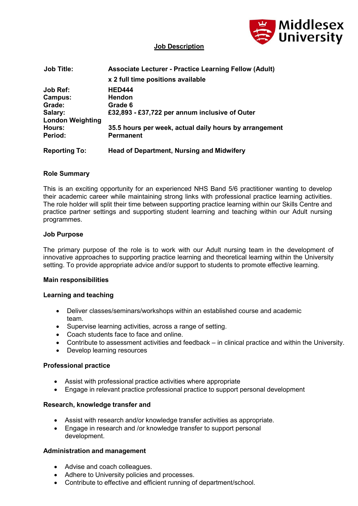

## **Job Description**

| <b>Job Title:</b>       | <b>Associate Lecturer - Practice Learning Fellow (Adult)</b> |
|-------------------------|--------------------------------------------------------------|
|                         | x 2 full time positions available                            |
| Job Ref:                | <b>HED444</b>                                                |
| Campus:                 | <b>Hendon</b>                                                |
| Grade:                  | Grade 6                                                      |
| Salary:                 | £32,893 - £37,722 per annum inclusive of Outer               |
| <b>London Weighting</b> |                                                              |
| Hours:                  | 35.5 hours per week, actual daily hours by arrangement       |
| Period:                 | <b>Permanent</b>                                             |
| <b>Reporting To:</b>    | <b>Head of Department, Nursing and Midwifery</b>             |

# **Role Summary**

This is an exciting opportunity for an experienced NHS Band 5/6 practitioner wanting to develop their academic career while maintaining strong links with professional practice learning activities. The role holder will split their time between supporting practice learning within our Skills Centre and practice partner settings and supporting student learning and teaching within our Adult nursing programmes.

### **Job Purpose**

The primary purpose of the role is to work with our Adult nursing team in the development of innovative approaches to supporting practice learning and theoretical learning within the University setting. To provide appropriate advice and/or support to students to promote effective learning.

### **Main responsibilities**

### **Learning and teaching**

- Deliver classes/seminars/workshops within an established course and academic team.
- Supervise learning activities, across a range of setting.
- Coach students face to face and online.
- Contribute to assessment activities and feedback in clinical practice and within the University.
- Develop learning resources

### **Professional practice**

- Assist with professional practice activities where appropriate
- Engage in relevant practice professional practice to support personal development

### **Research, knowledge transfer and**

- Assist with research and/or knowledge transfer activities as appropriate.
- Engage in research and /or knowledge transfer to support personal development.

### **Administration and management**

- Advise and coach colleagues.
- Adhere to University policies and processes.
- Contribute to effective and efficient running of department/school.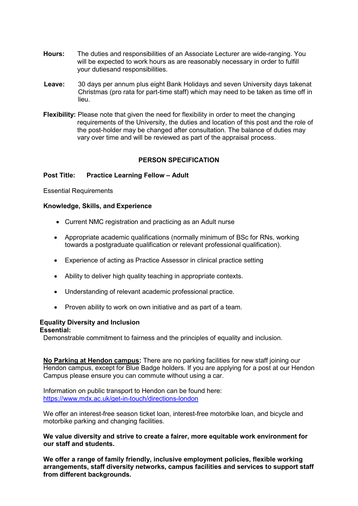- **Hours:** The duties and responsibilities of an Associate Lecturer are wide-ranging. You will be expected to work hours as are reasonably necessary in order to fulfill your dutiesand responsibilities.
- **Leave:** 30 days per annum plus eight Bank Holidays and seven University days takenat Christmas (pro rata for part-time staff) which may need to be taken as time off in lieu.
- **Flexibility:** Please note that given the need for flexibility in order to meet the changing requirements of the University, the duties and location of this post and the role of the post-holder may be changed after consultation. The balance of duties may vary over time and will be reviewed as part of the appraisal process.

## **PERSON SPECIFICATION**

### **Post Title: Practice Learning Fellow – Adult**

Essential Requirements

### **Knowledge, Skills, and Experience**

- Current NMC registration and practicing as an Adult nurse
- Appropriate academic qualifications (normally minimum of BSc for RNs, working towards a postgraduate qualification or relevant professional qualification).
- Experience of acting as Practice Assessor in clinical practice setting
- Ability to deliver high quality teaching in appropriate contexts.
- Understanding of relevant academic professional practice.
- Proven ability to work on own initiative and as part of a team.

# **Equality Diversity and Inclusion**

**Essential:**

Demonstrable commitment to fairness and the principles of equality and inclusion.

**No Parking at Hendon campus:** There are no parking facilities for new staff joining our Hendon campus, except for Blue Badge holders. If you are applying for a post at our Hendon Campus please ensure you can commute without using a car.

Information on public transport to Hendon can be found here: <https://www.mdx.ac.uk/get-in-touch/directions-london>

We offer an interest-free season ticket loan, interest-free motorbike loan, and bicycle and motorbike parking and changing facilities.

**We value diversity and strive to create a fairer, more equitable work environment for our staff and students.**

**We offer a range of family friendly, inclusive employment policies, flexible working arrangements, staff diversity networks, campus facilities and services to support staff from different backgrounds.**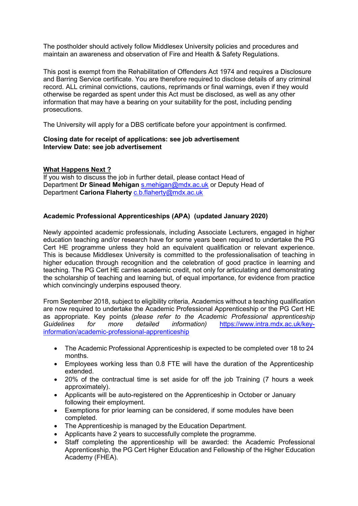The postholder should actively follow Middlesex University policies and procedures and maintain an awareness and observation of Fire and Health & Safety Regulations.

This post is exempt from the Rehabilitation of Offenders Act 1974 and requires a Disclosure and Barring Service certificate. You are therefore required to disclose details of any criminal record. ALL criminal convictions, cautions, reprimands or final warnings, even if they would otherwise be regarded as spent under this Act must be disclosed, as well as any other information that may have a bearing on your suitability for the post, including pending prosecutions.

The University will apply for a DBS certificate before your appointment is confirmed.

## **Closing date for receipt of applications: see job advertisement Interview Date: see job advertisement**

### **What Happens Next ?**

If you wish to discuss the job in further detail, please contact Head of Department **Dr Sinead Mehigan** [s.mehigan@mdx.ac.uk](mailto:s.mehigan@mdx.ac.uk) or Deputy Head of Department **Cariona Flaherty** [c.b.flaherty@mdx.ac.uk](mailto:c.b.flaherty@mdx.ac.uk)

## **Academic Professional Apprenticeships (APA) (updated January 2020)**

Newly appointed academic professionals, including Associate Lecturers, engaged in higher education teaching and/or research have for some years been required to undertake the PG Cert HE programme unless they hold an equivalent qualification or relevant experience. This is because Middlesex University is committed to the professionalisation of teaching in higher education through recognition and the celebration of good practice in learning and teaching. The PG Cert HE carries academic credit, not only for articulating and demonstrating the scholarship of teaching and learning but, of equal importance, for evidence from practice which convincingly underpins espoused theory.

From September 2018, subject to eligibility criteria, Academics without a teaching qualification are now required to undertake the Academic Professional Apprenticeship or the PG Cert HE as appropriate. Key points *(please refer to the Academic Professional apprenticeship Guidelines for more detailed information)* [https://www.intra.mdx.ac.uk/key](https://emea01.safelinks.protection.outlook.com/?url=https%3A%2F%2Fwww.intra.mdx.ac.uk%2Fkey-information%2Facademic-professional-apprenticeship&data=02%7C01%7C%7C5383f08ab088465796a408d60100cd1f%7C38e37b88a3a148cf9f056537427fed24%7C0%7C0%7C636697500272781284&sdata=PyPHP1vWnmRAqHJ4qn16n5LQJUpScdqs3RojUdzKcaU%3D&reserved=0)[information/academic-professional-apprenticeship](https://emea01.safelinks.protection.outlook.com/?url=https%3A%2F%2Fwww.intra.mdx.ac.uk%2Fkey-information%2Facademic-professional-apprenticeship&data=02%7C01%7C%7C5383f08ab088465796a408d60100cd1f%7C38e37b88a3a148cf9f056537427fed24%7C0%7C0%7C636697500272781284&sdata=PyPHP1vWnmRAqHJ4qn16n5LQJUpScdqs3RojUdzKcaU%3D&reserved=0)

- The Academic Professional Apprenticeship is expected to be completed over 18 to 24 months.
- Employees working less than 0.8 FTE will have the duration of the Apprenticeship extended.
- 20% of the contractual time is set aside for off the job Training (7 hours a week approximately).
- Applicants will be auto-registered on the Apprenticeship in October or January following their employment.
- Exemptions for prior learning can be considered, if some modules have been completed.
- The Apprenticeship is managed by the Education Department.
- Applicants have 2 years to successfully complete the programme.
- Staff completing the apprenticeship will be awarded: the Academic Professional Apprenticeship, the PG Cert Higher Education and Fellowship of the Higher Education Academy (FHEA).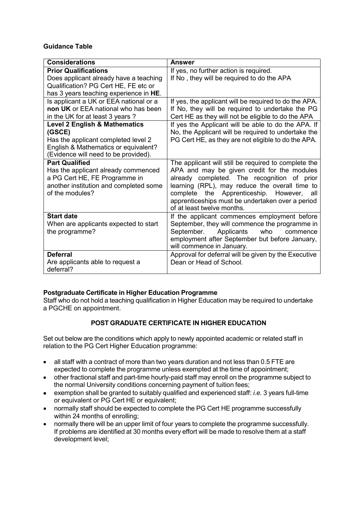## **Guidance Table**

| <b>Considerations</b>                    | <b>Answer</b>                                         |
|------------------------------------------|-------------------------------------------------------|
| <b>Prior Qualifications</b>              | If yes, no further action is required.                |
| Does applicant already have a teaching   | If No, they will be required to do the APA            |
| Qualification? PG Cert HE, FE etc or     |                                                       |
| has 3 years teaching experience in HE.   |                                                       |
| Is applicant a UK or EEA national or a   | If yes, the applicant will be required to do the APA. |
| non UK or EEA national who has been      | If No, they will be required to undertake the PG      |
| in the UK for at least 3 years?          | Cert HE as they will not be eligible to do the APA    |
| <b>Level 2 English &amp; Mathematics</b> | If yes the Applicant will be able to do the APA. If   |
| (GSCE)                                   | No, the Applicant will be required to undertake the   |
| Has the applicant completed level 2      | PG Cert HE, as they are not eligible to do the APA.   |
| English & Mathematics or equivalent?     |                                                       |
| (Evidence will need to be provided).     |                                                       |
| <b>Part Qualified</b>                    | The applicant will still be required to complete the  |
| Has the applicant already commenced      | APA and may be given credit for the modules           |
| a PG Cert HE, FE Programme in            | already completed. The recognition of prior           |
| another institution and completed some   | learning (RPL), may reduce the overall time to        |
| of the modules?                          | complete the Apprenticeship. However,<br>all          |
|                                          | apprenticeships must be undertaken over a period      |
|                                          | of at least twelve months.                            |
| <b>Start date</b>                        | If the applicant commences employment before          |
| When are applicants expected to start    | September, they will commence the programme in        |
| the programme?                           | Applicants<br>September.<br>who<br>commence           |
|                                          | employment after September but before January,        |
|                                          | will commence in January.                             |
| <b>Deferral</b>                          | Approval for deferral will be given by the Executive  |
| Are applicants able to request a         | Dean or Head of School.                               |
| deferral?                                |                                                       |

# **Postgraduate Certificate in Higher Education Programme**

Staff who do not hold a teaching qualification in Higher Education may be required to undertake a PGCHE on appointment.

# **POST GRADUATE CERTIFICATE IN HIGHER EDUCATION**

Set out below are the conditions which apply to newly appointed academic or related staff in relation to the PG Cert Higher Education programme:

- all staff with a contract of more than two years duration and not less than 0.5 FTE are expected to complete the programme unless exempted at the time of appointment;
- other fractional staff and part-time hourly-paid staff may enroll on the programme subject to the normal University conditions concerning payment of tuition fees;
- exemption shall be granted to suitably qualified and experienced staff: *i.e.* 3 years full-time or equivalent or PG Cert HE or equivalent;
- normally staff should be expected to complete the PG Cert HE programme successfully within 24 months of enrolling;
- normally there will be an upper limit of four years to complete the programme successfully. If problems are identified at 30 months every effort will be made to resolve them at a staff development level;